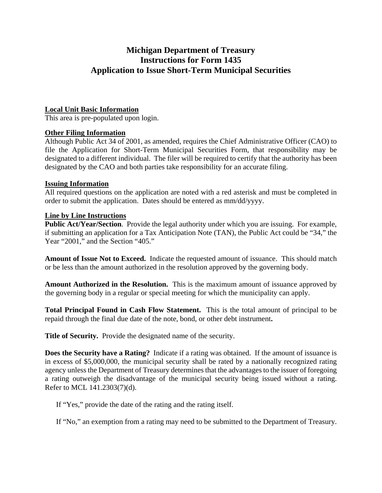# **Michigan Department of Treasury Instructions for Form 1435 Application to Issue Short-Term Municipal Securities**

# **Local Unit Basic Information**

This area is pre-populated upon login.

## **Other Filing Information**

Although Public Act 34 of 2001, as amended, requires the Chief Administrative Officer (CAO) to file the Application for Short-Term Municipal Securities Form, that responsibility may be designated to a different individual. The filer will be required to certify that the authority has been designated by the CAO and both parties take responsibility for an accurate filing.

## **Issuing Information**

All required questions on the application are noted with a red asterisk and must be completed in order to submit the application. Dates should be entered as mm/dd/yyyy.

## **Line by Line Instructions**

**Public Act/Year/Section**. Provide the legal authority under which you are issuing. For example, if submitting an application for a Tax Anticipation Note (TAN), the Public Act could be "34," the Year "2001," and the Section "405."

**Amount of Issue Not to Exceed.** Indicate the requested amount of issuance. This should match or be less than the amount authorized in the resolution approved by the governing body.

**Amount Authorized in the Resolution.** This is the maximum amount of issuance approved by the governing body in a regular or special meeting for which the municipality can apply.

**Total Principal Found in Cash Flow Statement.** This is the total amount of principal to be repaid through the final due date of the note, bond, or other debt instrument**.** 

**Title of Security.** Provide the designated name of the security.

**Does the Security have a Rating?** Indicate if a rating was obtained. If the amount of issuance is in excess of \$5,000,000, the municipal security shall be rated by a nationally recognized rating agency unless the Department of Treasury determines that the advantages to the issuer of foregoing a rating outweigh the disadvantage of the municipal security being issued without a rating. Refer to MCL 141.2303(7)(d).

If "Yes," provide the date of the rating and the rating itself.

If "No," an exemption from a rating may need to be submitted to the Department of Treasury.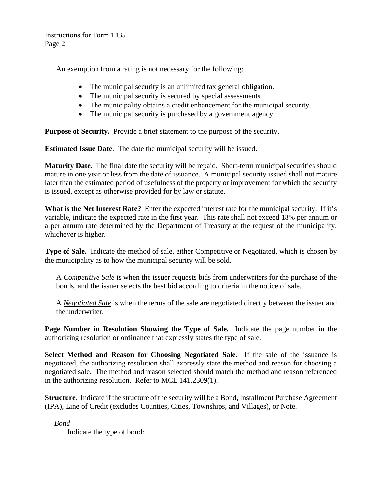An exemption from a rating is not necessary for the following:

- The municipal security is an unlimited tax general obligation.
- The municipal security is secured by special assessments.
- The municipality obtains a credit enhancement for the municipal security.
- The municipal security is purchased by a government agency.

**Purpose of Security.** Provide a brief statement to the purpose of the security.

**Estimated Issue Date**. The date the municipal security will be issued.

**Maturity Date.** The final date the security will be repaid. Short-term municipal securities should mature in one year or less from the date of issuance. A municipal security issued shall not mature later than the estimated period of usefulness of the property or improvement for which the security is issued, except as otherwise provided for by law or statute.

**What is the Net Interest Rate?** Enter the expected interest rate for the municipal security. If it's variable, indicate the expected rate in the first year. This rate shall not exceed 18% per annum or a per annum rate determined by the Department of Treasury at the request of the municipality, whichever is higher.

**Type of Sale.** Indicate the method of sale, either Competitive or Negotiated, which is chosen by the municipality as to how the municipal security will be sold.

A *Competitive Sale* is when the issuer requests bids from underwriters for the purchase of the bonds, and the issuer selects the best bid according to criteria in the notice of sale.

A *Negotiated Sale* is when the terms of the sale are negotiated directly between the issuer and the underwriter.

**Page Number in Resolution Showing the Type of Sale.** Indicate the page number in the authorizing resolution or ordinance that expressly states the type of sale.

**Select Method and Reason for Choosing Negotiated Sale.** If the sale of the issuance is negotiated, the authorizing resolution shall expressly state the method and reason for choosing a negotiated sale. The method and reason selected should match the method and reason referenced in the authorizing resolution. Refer to MCL 141.2309(1).

**Structure.** Indicate if the structure of the security will be a Bond, Installment Purchase Agreement (IPA), Line of Credit (excludes Counties, Cities, Townships, and Villages), or Note.

 *Bond* 

Indicate the type of bond: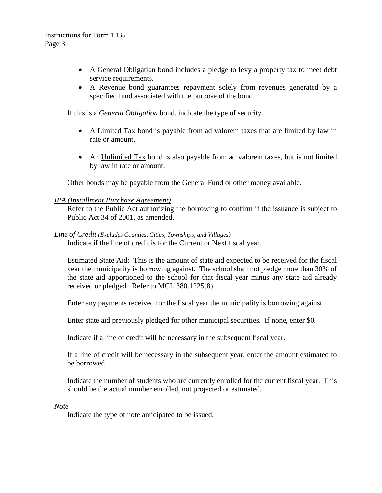- A General Obligation bond includes a pledge to levy a property tax to meet debt service requirements.
- A Revenue bond guarantees repayment solely from revenues generated by a specified fund associated with the purpose of the bond.

If this is a *General Obligation* bond, indicate the type of security.

- A Limited Tax bond is payable from ad valorem taxes that are limited by law in rate or amount.
- An Unlimited Tax bond is also payable from ad valorem taxes, but is not limited by law in rate or amount.

Other bonds may be payable from the General Fund or other money available.

### *IPA (Installment Purchase Agreement)*

Refer to the Public Act authorizing the borrowing to confirm if the issuance is subject to Public Act 34 of 2001, as amended.

#### *Line of Credit (Excludes Counties, Cities, Townships, and Villages)*

Indicate if the line of credit is for the Current or Next fiscal year.

Estimated State Aid: This is the amount of state aid expected to be received for the fiscal year the municipality is borrowing against. The school shall not pledge more than 30% of the state aid apportioned to the school for that fiscal year minus any state aid already received or pledged. Refer to MCL 380.1225(8).

Enter any payments received for the fiscal year the municipality is borrowing against.

Enter state aid previously pledged for other municipal securities. If none, enter \$0.

Indicate if a line of credit will be necessary in the subsequent fiscal year.

If a line of credit will be necessary in the subsequent year, enter the amount estimated to be borrowed.

Indicate the number of students who are currently enrolled for the current fiscal year. This should be the actual number enrolled, not projected or estimated.

 *Note* 

Indicate the type of note anticipated to be issued.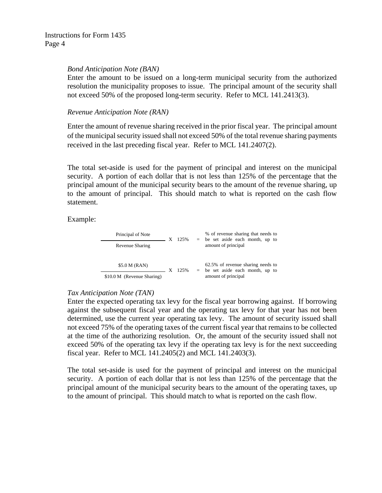#### *Bond Anticipation Note (BAN)*

Enter the amount to be issued on a long-term municipal security from the authorized resolution the municipality proposes to issue. The principal amount of the security shall not exceed 50% of the proposed long-term security. Refer to MCL 141.2413(3).

### *Revenue Anticipation Note (RAN)*

Enter the amount of revenue sharing received in the prior fiscal year. The principal amount of the municipal security issued shall not exceed 50% of the total revenue sharing payments received in the last preceding fiscal year. Refer to MCL 141.2407(2).

The total set-aside is used for the payment of principal and interest on the municipal security. A portion of each dollar that is not less than 125% of the percentage that the principal amount of the municipal security bears to the amount of the revenue sharing, up to the amount of principal. This should match to what is reported on the cash flow statement.

Example:

| Principal of Note          | $\mathbf{X}$ | 125%    | % of revenue sharing that needs to<br>$=$ be set aside each month, up to                       |
|----------------------------|--------------|---------|------------------------------------------------------------------------------------------------|
| Revenue Sharing            |              |         | amount of principal                                                                            |
|                            |              |         |                                                                                                |
| \$5.0 M (RAN)              |              | $125\%$ | 62.5% of revenue sharing needs to<br>$=$ be set aside each month, up to<br>amount of principal |
| \$10.0 M (Revenue Sharing) |              |         |                                                                                                |

# *Tax Anticipation Note (TAN)*

Enter the expected operating tax levy for the fiscal year borrowing against. If borrowing against the subsequent fiscal year and the operating tax levy for that year has not been determined, use the current year operating tax levy. The amount of security issued shall not exceed 75% of the operating taxes of the current fiscal year that remains to be collected at the time of the authorizing resolution. Or, the amount of the security issued shall not exceed 50% of the operating tax levy if the operating tax levy is for the next succeeding fiscal year. Refer to MCL 141.2405(2) and MCL 141.2403(3).

The total set-aside is used for the payment of principal and interest on the municipal security. A portion of each dollar that is not less than 125% of the percentage that the principal amount of the municipal security bears to the amount of the operating taxes, up to the amount of principal. This should match to what is reported on the cash flow.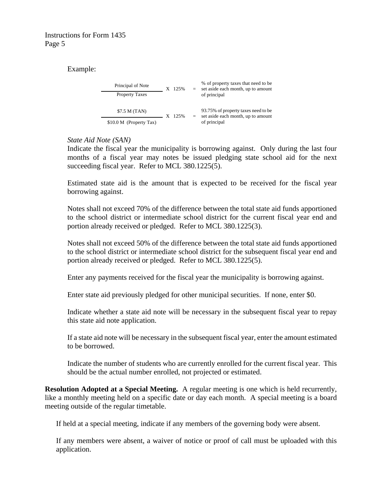Example:

| Principal of Note       |  | X 125%    |  | % of property taxes that need to be<br>set aside each month, up to amount                 |
|-------------------------|--|-----------|--|-------------------------------------------------------------------------------------------|
| <b>Property Taxes</b>   |  |           |  | of principal                                                                              |
| \$7.5 M (TAN)           |  | $X$ 12.5% |  | 93.75% of property taxes need to be<br>set aside each month, up to amount<br>of principal |
| \$10.0 M (Property Tax) |  |           |  |                                                                                           |

# *State Aid Note (SAN)*

Indicate the fiscal year the municipality is borrowing against. Only during the last four months of a fiscal year may notes be issued pledging state school aid for the next succeeding fiscal year. Refer to MCL 380.1225(5).

Estimated state aid is the amount that is expected to be received for the fiscal year borrowing against.

Notes shall not exceed 70% of the difference between the total state aid funds apportioned to the school district or intermediate school district for the current fiscal year end and portion already received or pledged. Refer to MCL 380.1225(3).

Notes shall not exceed 50% of the difference between the total state aid funds apportioned to the school district or intermediate school district for the subsequent fiscal year end and portion already received or pledged. Refer to MCL 380.1225(5).

Enter any payments received for the fiscal year the municipality is borrowing against.

Enter state aid previously pledged for other municipal securities. If none, enter \$0.

Indicate whether a state aid note will be necessary in the subsequent fiscal year to repay this state aid note application.

If a state aid note will be necessary in the subsequent fiscal year, enter the amount estimated to be borrowed.

Indicate the number of students who are currently enrolled for the current fiscal year. This should be the actual number enrolled, not projected or estimated.

**Resolution Adopted at a Special Meeting.** A regular meeting is one which is held recurrently, like a monthly meeting held on a specific date or day each month. A special meeting is a board meeting outside of the regular timetable.

If held at a special meeting, indicate if any members of the governing body were absent.

If any members were absent, a waiver of notice or proof of call must be uploaded with this application.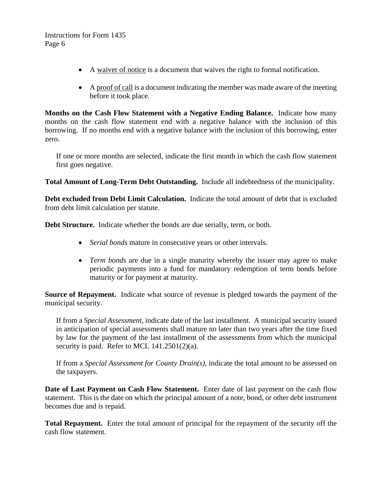- A waiver of notice is a document that waives the right to formal notification.
- A proof of call is a document indicating the member was made aware of the meeting before it took place.

**Months on the Cash Flow Statement with a Negative Ending Balance.** Indicate how many months on the cash flow statement end with a negative balance with the inclusion of this borrowing. If no months end with a negative balance with the inclusion of this borrowing, enter zero.

If one or more months are selected, indicate the first month in which the cash flow statement first goes negative.

**Total Amount of Long-Term Debt Outstanding.** Include all indebtedness of the municipality.

**Debt excluded from Debt Limit Calculation.** Indicate the total amount of debt that is excluded from debt limit calculation per statute.

**Debt Structure.** Indicate whether the bonds are due serially, term, or both.

- *Serial bonds* mature in consecutive years or other intervals.
- *Term bonds* are due in a single maturity whereby the issuer may agree to make periodic payments into a fund for mandatory redemption of term bonds before maturity or for payment at maturity.

**Source of Repayment.** Indicate what source of revenue is pledged towards the payment of the municipal security.

If from a *Special Assessment*, indicate date of the last installment. A municipal security issued in anticipation of special assessments shall mature no later than two years after the time fixed by law for the payment of the last installment of the assessments from which the municipal security is paid. Refer to MCL 141.2501(2)(a).

If from a *Special Assessment for County Drain(s)*, indicate the total amount to be assessed on the taxpayers.

**Date of Last Payment on Cash Flow Statement.** Enter date of last payment on the cash flow statement. This is the date on which the principal amount of a note, bond, or other debt instrument becomes due and is repaid.

**Total Repayment.** Enter the total amount of principal for the repayment of the security off the cash flow statement.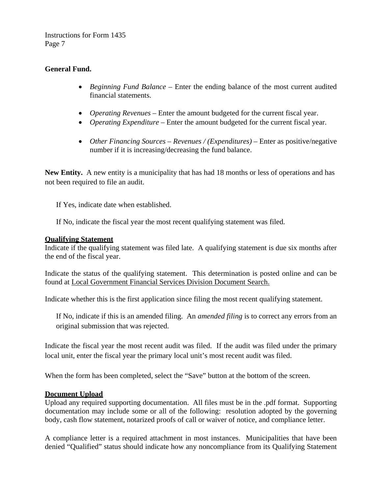# **General Fund.**

- *Beginning Fund Balance* Enter the ending balance of the most current audited financial statements.
- *Operating Revenues*  Enter the amount budgeted for the current fiscal year.
- *Operating Expenditure* Enter the amount budgeted for the current fiscal year.
- *Other Financing Sources* – *Revenues / (Expenditures)* Enter as positive/negative number if it is increasing/decreasing the fund balance.

**New Entity.** A new entity is a municipality that has had 18 months or less of operations and has not been required to file an audit.

If Yes, indicate date when established.

If No, indicate the fiscal year the most recent qualifying statement was filed.

### **Qualifying Statement**

Indicate if the qualifying statement was filed late. A qualifying statement is due six months after the end of the fiscal year.

Indicate the status of the qualifying statement. This determination is posted online and can be found at [Local Government Financial Services Division Document Search.](https://treas-secure.state.mi.us/LAFDocSearch/)

Indicate whether this is the first application since filing the most recent qualifying statement.

If No, indicate if this is an amended filing. An *amended filing* is to correct any errors from an original submission that was rejected.

Indicate the fiscal year the most recent audit was filed. If the audit was filed under the primary local unit, enter the fiscal year the primary local unit's most recent audit was filed.

When the form has been completed, select the "Save" button at the bottom of the screen.

### **Document Upload**

Upload any required supporting documentation. All files must be in the .pdf format. Supporting documentation may include some or all of the following: resolution adopted by the governing body, cash flow statement, notarized proofs of call or waiver of notice, and compliance letter.

A compliance letter is a required attachment in most instances. Municipalities that have been denied "Qualified" status should indicate how any noncompliance from its Qualifying Statement